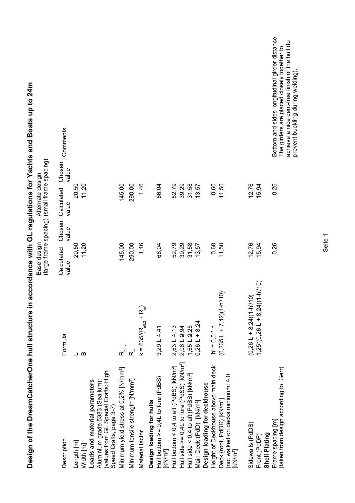| Design of the DreamCatcherOne hull structure in                                                                                     |                                                                   |                                                            |                                        | accordance with GL regulations for Yachts and Boats up to 24m                                                                                                                        |
|-------------------------------------------------------------------------------------------------------------------------------------|-------------------------------------------------------------------|------------------------------------------------------------|----------------------------------------|--------------------------------------------------------------------------------------------------------------------------------------------------------------------------------------|
|                                                                                                                                     |                                                                   | (large frame spacing) (small frame spacing)<br>Base design | Alternate design                       |                                                                                                                                                                                      |
| Description                                                                                                                         | Formula                                                           | Chosen<br>value<br>Calculated<br>value                     | Chosen<br>value<br>Calculated<br>value | Comments                                                                                                                                                                             |
| Length [m]<br>Width [m]                                                                                                             | $\boldsymbol{\underline{\omega}}$<br>$\overline{\phantom{0}}$     | 20,50<br>11,20                                             | 11,20<br>20,50                         |                                                                                                                                                                                      |
| (values from GL Special Crafts: High<br>Loads and material parameters<br>Aluminium grade 5383 (Sealium):<br>Speed Crafts, page 3-7) |                                                                   |                                                            |                                        |                                                                                                                                                                                      |
| Minimum yield stress at 0,2% [N/mm <sup>2</sup> ]                                                                                   | $\mathsf{R}_{\mathsf{po},2}^{\mathsf{oo},2}$                      | 145,00                                                     | 145,00                                 |                                                                                                                                                                                      |
| Minimum tensile strength [N/mm <sup>2</sup> ]                                                                                       | $\alpha^{\epsilon}$                                               | 290,00                                                     | 290,00                                 |                                                                                                                                                                                      |
| Material factor                                                                                                                     | $k = 635/(R_{p0,2} + R_n)$                                        | 1,46                                                       | 1,46                                   |                                                                                                                                                                                      |
| Hull bottom $>= 0.4L$ to fore (PdBS)<br>Design loading for hulls<br>[kN/m <sup>2</sup> ]                                            | 3,29 L $4,41$                                                     | 66,04                                                      | 66,04                                  |                                                                                                                                                                                      |
| Hull bottom < 0,4 to aft (PdBS) [kN/m <sup>2</sup> ]                                                                                | $2,63 \lfloor 4,13$                                               | 52,79                                                      | 52,79                                  |                                                                                                                                                                                      |
| Hull side >= 0,4L to fore (PdSS) [kN/m <sup>2</sup> ]                                                                               | 2,06 L 2,94                                                       | 39,29                                                      | 39,29                                  |                                                                                                                                                                                      |
| Hull side < 0,4 to aft (PdSS) [kN/m <sup>2</sup> ]                                                                                  | $1,65 \perp 2,25$                                                 | 31,58                                                      | 31,58                                  |                                                                                                                                                                                      |
| Design loading for deckhouse<br>Main Deck (PdD) [kN/m <sup>2</sup> ]                                                                | $0,26L + 8,24$                                                    | 13,57                                                      | 13,57                                  |                                                                                                                                                                                      |
| Height of Deckhouse above main deck                                                                                                 | $h' = 0,5 * h$                                                    | 0,60                                                       | 0,60                                   |                                                                                                                                                                                      |
| (not walked on decks minimum: 4,0<br>Deck (roof, PdDR) [kN/m <sup>2</sup> ]<br>[kN/m <sup>2</sup> ]                                 | $(0,235 L + 7,42)(1-h/10)$                                        | 11,50                                                      | 11,50                                  |                                                                                                                                                                                      |
| Sidewalls (PdDS)<br>Shell Plating<br>Front (PdDF)                                                                                   | $(1,25*(0,26 \perp + 8,24)(1-h)/10)$<br>$(0,26 L + 8,24)(1-h/10)$ | 12,76<br>15,94                                             | 12,76<br>15,94                         |                                                                                                                                                                                      |
| (taken from design according to Gerr)<br>Frame spacing [m]                                                                          |                                                                   | 0,26                                                       | 0,26                                   | Bottom and sides longitudinal girder distance.<br>achieve a nice dent-free finish of the hull (to<br>The girders are placed closely together to<br>prevent buckling during welding). |

Seite 1

prevent buckling during welding).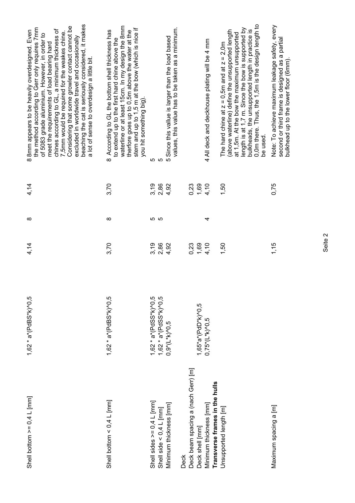| Shell bottom $>= 0.4$ L [mm]                             | 1,62 $*$ a $*(PdBS*K)$ ^0,5              | 4,14         | ∞           | 4,14 | beaching the cat is seriously considered, it makes<br>Considering that some growler contact cannot be<br>the method according to Gerr only requires 7mm<br>chines according to GL, a minimum thickness of<br>8mm appears to be heavily overdesigned. Even<br>7,5mm would be required for the weakes chine.<br>of 5083 grade aluminium. However, in order to<br>excluded in worldwide travel and occasionally<br>meet the requirements of load bearing hard<br>a lot of sense to overdesign a little bit.<br>$\overline{\infty}$ |
|----------------------------------------------------------|------------------------------------------|--------------|-------------|------|---------------------------------------------------------------------------------------------------------------------------------------------------------------------------------------------------------------------------------------------------------------------------------------------------------------------------------------------------------------------------------------------------------------------------------------------------------------------------------------------------------------------------------|
| Shell bottom $\lt 0,4$ L [mm]                            | $1,62 * a * (PdBS * k)$ <sup>1</sup> ,62 | 3,70         | ∞           | 3,70 | waterline or at least 15cm. In my design the 8mm<br>stern and up to 1,5 m at the bow (which is nice if<br>According to GL the bottom shell thickness has<br>therfore goes up to 0,5m above the water at the<br>to extend up to the first hard chine above the<br>you hit something big)<br>$\infty$                                                                                                                                                                                                                             |
| Shell sides $>= 0.4 L$ [mm]                              | $1,62 * a * (PdSS * k)$ <sup>2</sup> 0,5 | 3,19<br>2,86 | <u> က</u> က | 3,19 | 5                                                                                                                                                                                                                                                                                                                                                                                                                                                                                                                               |
| Shell side < $0,4$ L [mm]                                | $1,62 * a * (PdSS * k)$ <sup>2</sup> 0,5 |              |             | 2,86 | ပ                                                                                                                                                                                                                                                                                                                                                                                                                                                                                                                               |
| Minimum thickness [mm]                                   | $0,9*(L*K)$ 6,5                          | 4,92         |             | 4,92 | values, this value has to be taken as a minimum.<br>5 Since this vallue is larger than the load based                                                                                                                                                                                                                                                                                                                                                                                                                           |
| <b>Deck</b>                                              |                                          |              |             |      |                                                                                                                                                                                                                                                                                                                                                                                                                                                                                                                                 |
| Deck beam spacing a (nach Gerr) [m]                      |                                          | 0,23         |             | 0,23 |                                                                                                                                                                                                                                                                                                                                                                                                                                                                                                                                 |
| Deck shell [mm]                                          | $1,65^*a^*$ (PdD*k)^0,5                  | 1,69         |             | 1,69 |                                                                                                                                                                                                                                                                                                                                                                                                                                                                                                                                 |
| Transverse frames in the hulls<br>Minimum thickness [mm] | $0,75*(L*K)$ <sup>0</sup> ,5             | 4,10         | 4           | 4,10 | 4 All deck and deckhouse plating will be 4 mm                                                                                                                                                                                                                                                                                                                                                                                                                                                                                   |
| Unsupported length [m]                                   |                                          | 1,50         |             | 1,50 | 0,0m there. Thus, the 1,5m is the design length to<br>length is at 1,7 m. Since the bow is supported by<br>bulkheads, the unsupported length in practice is<br>(above waterline) define the unsupported length<br>at 1,5m. At the bow the maximum unsupported<br>The hard chine at $z = 0$ , 5m and at $z = 2$ , 0m                                                                                                                                                                                                             |
|                                                          |                                          |              |             |      | be used.                                                                                                                                                                                                                                                                                                                                                                                                                                                                                                                        |
| Maximum spacing a [m]                                    |                                          | 1,15         |             | 0,75 | Note: To achieve maximum leakage safety, every<br>second or third frame is designed as a partial<br>bulkhead up to the lower floor (6mm)                                                                                                                                                                                                                                                                                                                                                                                        |

Seite 2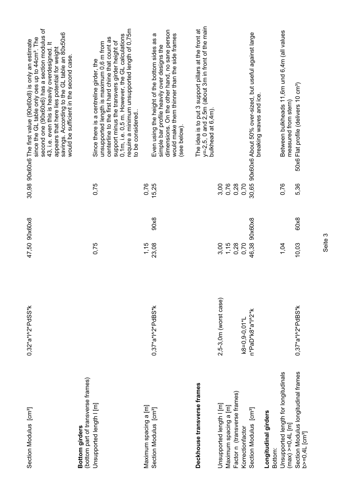| Section Modulus [cm <sup>3</sup> ]                                | $0,32^*a^*$ l^2*PdSS*k | 47,50 90x60x8  |       | second one (90x60x6) has a section modulus of<br>savings. According to the GL table an 80x50x6<br>since the GL table only oes up to 44cm <sup>3</sup> . The<br>30,98 90x60x6 The first value (90x60x8) is only an estimate<br>43, i.e. even this is heavily overdesigned. It<br>appears that here lies potential for weight<br>would be sufficient in the second case |
|-------------------------------------------------------------------|------------------------|----------------|-------|-----------------------------------------------------------------------------------------------------------------------------------------------------------------------------------------------------------------------------------------------------------------------------------------------------------------------------------------------------------------------|
| (bottom part of transverse frames)<br>Bottom girders              |                        |                |       |                                                                                                                                                                                                                                                                                                                                                                       |
| Unsupported length   [m]                                          |                        | 0,75           | 0,75  | require a minimum unsupported length of 0,75m<br>0,1m, i.e. 0,5 m. However, the GL calculations<br>centerline to the first hard chine that count as<br>support minus the transvers girder height of<br>unsupported length is maximum 0,6 m from<br>Since there is a centreline girder, the<br>to be considered                                                        |
| Maximum spacing a [m]                                             |                        | 1,15           | 0,76  |                                                                                                                                                                                                                                                                                                                                                                       |
| Section Modulus [cm <sup>3</sup> ]                                | $0,37^*a^*I^2PdBS^*K$  | 90x8<br>23,08  | 15,25 | dimensions. On the other hand, no sane person<br>would make them thinner than the side frames<br>Even using the height of the bottom sides as a<br>simple bar profile heavily over designs the<br>(see below)                                                                                                                                                         |
| Deckhouse transverse frames                                       |                        |                |       | $y=2,5,0$ and 2,5m (about 3m in front of the main<br>The idea is to put 3 support pillars at the front at<br>bulkhead at 6,4m)                                                                                                                                                                                                                                        |
| Unsupported length I [m]                                          | 2,5-3,0m (worst case)  | 3,00           | 3,00  |                                                                                                                                                                                                                                                                                                                                                                       |
| Maximum spacing a [m]                                             |                        |                | 0,76  |                                                                                                                                                                                                                                                                                                                                                                       |
| Factor n (transverse frames)                                      |                        | $1,15$<br>0,28 | 0,28  |                                                                                                                                                                                                                                                                                                                                                                       |
| Korrectionfactor                                                  | k8=0,9-0,01*L          | 0,70           | 0,70  |                                                                                                                                                                                                                                                                                                                                                                       |
| Section Modulus [cm <sup>3</sup> ]                                | n*PaD*k8*a*l^2*k       | 46,38 90x60x8  | 30,65 | 90x60x6 About 50% over-sized, but useful against large<br>breaking waves and ice                                                                                                                                                                                                                                                                                      |
| Longitudinal girders                                              |                        |                |       |                                                                                                                                                                                                                                                                                                                                                                       |
| Bottom:                                                           |                        |                |       |                                                                                                                                                                                                                                                                                                                                                                       |
| Unsupported length for longitudinals<br>(max) >=0,4L [m]          |                        | 1,04           | 0,76  | Between bulkheads 11,6m und 6,4m (all values<br>measured from stern)                                                                                                                                                                                                                                                                                                  |
| Section Modulus longitudinal frames<br>b>=0,4L [cm <sup>3</sup> ] | $0,37^*a^*I^2PdBS^*K$  | 60x8<br>10,03  | 5,36  | 50x6 Flat profile (delivers 10 cm <sup>3</sup> )                                                                                                                                                                                                                                                                                                                      |

Seite 3